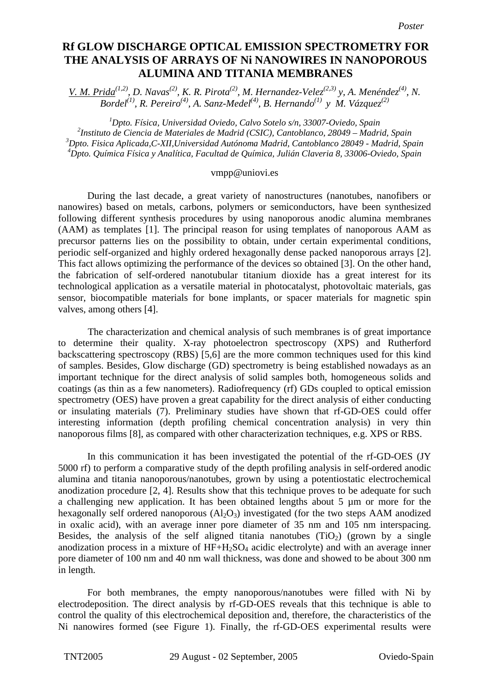## **Rf glow discharge optical emission spectrometry for the analysis of arrays Rf GLOW DISCHARGE OPTICAL EMISSION SPECTROMETRY FOR of Ni nanowires in nanoporous alumina and titania membranes THE ANALYSIS OF ARRAYS OF Ni NANOWIRES IN NANOPOROUS ALUMINA AND TITANIA MEMBRANES**

*V. M. Prida*<sup>(1,2)</sup>, D. Navas<sup>(2)</sup>, K. R. Pirota<sup>(2)</sup>, M. Hernandez-Velez<sup>(2,3)</sup> y, A. Menéndez<sup>(4)</sup>, N. *Bordel(1), R. Pereiro(4), A. Sanz-Medel(4), B. Hernando(1) y M. Vázquez(2)* 

 *Dpto. Física, Universidad Oviedo, Calvo Sotelo s/n, 33007-Oviedo, Spain Instituto de Ciencia de Materiales de Madrid (CSIC), Cantoblanco, 28049 – Madrid, Spain Dpto. Fisica Aplicada,C-XII,Universidad Autónoma Madrid, Cantoblanco 28049 - Madrid, Spain Dpto. Química Física y Analítica, Facultad de Química, Julián Claveria 8, 33006-Oviedo, Spain* 

## vmpp@uniovi.es

During the last decade, a great variety of nanostructures (nanotubes, nanofibers or nanowires) based on metals, carbons, polymers or semiconductors, have been synthesized following different synthesis procedures by using nanoporous anodic alumina membranes (AAM) as templates [1]. The principal reason for using templates of nanoporous AAM as precursor patterns lies on the possibility to obtain, under certain experimental conditions, periodic self-organized and highly ordered hexagonally dense packed nanoporous arrays [2]. This fact allows optimizing the performance of the devices so obtained [3]. On the other hand, the fabrication of self-ordered nanotubular titanium dioxide has a great interest for its technological application as a versatile material in photocatalyst, photovoltaic materials, gas sensor, biocompatible materials for bone implants, or spacer materials for magnetic spin valves, among others [4].

 The characterization and chemical analysis of such membranes is of great importance to determine their quality. X-ray photoelectron spectroscopy (XPS) and Rutherford backscattering spectroscopy (RBS) [5,6] are the more common techniques used for this kind of samples. Besides, Glow discharge (GD) spectrometry is being established nowadays as an important technique for the direct analysis of solid samples both, homogeneous solids and coatings (as thin as a few nanometers). Radiofrequency (rf) GDs coupled to optical emission spectrometry (OES) have proven a great capability for the direct analysis of either conducting or insulating materials (7). Preliminary studies have shown that rf-GD-OES could offer interesting information (depth profiling chemical concentration analysis) in very thin nanoporous films [8], as compared with other characterization techniques, e.g. XPS or RBS.

In this communication it has been investigated the potential of the rf-GD-OES (JY 5000 rf) to perform a comparative study of the depth profiling analysis in self-ordered anodic alumina and titania nanoporous/nanotubes, grown by using a potentiostatic electrochemical anodization procedure [2, 4]. Results show that this technique proves to be adequate for such a challenging new application. It has been obtained lengths about 5 µm or more for the hexagonally self ordered nanoporous  $(Al_2O_3)$  investigated (for the two steps AAM anodized in oxalic acid), with an average inner pore diameter of 35 nm and 105 nm interspacing. Besides, the analysis of the self aligned titania nanotubes  $(TiO<sub>2</sub>)$  (grown by a single anodization process in a mixture of  $HF+H_2SO_4$  acidic electrolyte) and with an average inner pore diameter of 100 nm and 40 nm wall thickness, was done and showed to be about 300 nm in length.

For both membranes, the empty nanoporous/nanotubes were filled with Ni by electrodeposition. The direct analysis by rf-GD-OES reveals that this technique is able to control the quality of this electrochemical deposition and, therefore, the characteristics of the Ni nanowires formed (see Figure 1). Finally, the rf-GD-OES experimental results were